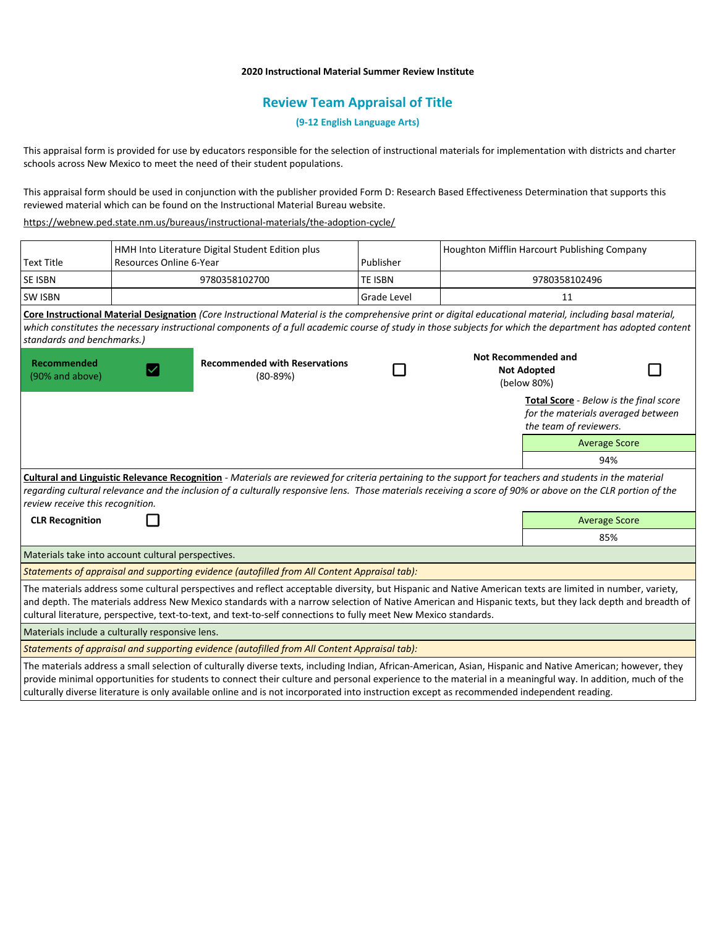## **2020 Instructional Material Summer Review Institute**

# **Review Team Appraisal of Title**

# **(9-12 English Language Arts)**

This appraisal form is provided for use by educators responsible for the selection of instructional materials for implementation with districts and charter schools across New Mexico to meet the need of their student populations.

This appraisal form should be used in conjunction with the publisher provided Form D: Research Based Effectiveness Determination that supports this reviewed material which can be found on the Instructional Material Bureau website.

<https://webnew.ped.state.nm.us/bureaus/instructional-materials/the-adoption-cycle/>

|                                       | HMH Into Literature Digital Student Edition plus   |                                                                                                                                                                                                                                                                                                                                                                                                                                                                        |                    | Houghton Mifflin Harcourt Publishing Company                    |                                                                                                        |  |  |
|---------------------------------------|----------------------------------------------------|------------------------------------------------------------------------------------------------------------------------------------------------------------------------------------------------------------------------------------------------------------------------------------------------------------------------------------------------------------------------------------------------------------------------------------------------------------------------|--------------------|-----------------------------------------------------------------|--------------------------------------------------------------------------------------------------------|--|--|
| <b>Text Title</b>                     | Resources Online 6-Year                            |                                                                                                                                                                                                                                                                                                                                                                                                                                                                        | Publisher          |                                                                 |                                                                                                        |  |  |
| <b>SE ISBN</b>                        | 9780358102700                                      |                                                                                                                                                                                                                                                                                                                                                                                                                                                                        | <b>TE ISBN</b>     |                                                                 | 9780358102496                                                                                          |  |  |
| <b>SW ISBN</b>                        |                                                    |                                                                                                                                                                                                                                                                                                                                                                                                                                                                        | <b>Grade Level</b> |                                                                 | 11                                                                                                     |  |  |
| standards and benchmarks.)            |                                                    | Core Instructional Material Designation (Core Instructional Material is the comprehensive print or digital educational material, including basal material,<br>which constitutes the necessary instructional components of a full academic course of study in those subjects for which the department has adopted content                                                                                                                                               |                    |                                                                 |                                                                                                        |  |  |
| <b>Recommended</b><br>(90% and above) |                                                    | <b>Recommended with Reservations</b><br>$(80-89%)$                                                                                                                                                                                                                                                                                                                                                                                                                     |                    | <b>Not Recommended and</b><br><b>Not Adopted</b><br>(below 80%) |                                                                                                        |  |  |
|                                       |                                                    |                                                                                                                                                                                                                                                                                                                                                                                                                                                                        |                    |                                                                 | Total Score - Below is the final score<br>for the materials averaged between<br>the team of reviewers. |  |  |
|                                       |                                                    |                                                                                                                                                                                                                                                                                                                                                                                                                                                                        |                    |                                                                 | <b>Average Score</b>                                                                                   |  |  |
|                                       |                                                    |                                                                                                                                                                                                                                                                                                                                                                                                                                                                        |                    |                                                                 | 94%                                                                                                    |  |  |
| review receive this recognition.      |                                                    | Cultural and Linguistic Relevance Recognition - Materials are reviewed for criteria pertaining to the support for teachers and students in the material<br>regarding cultural relevance and the inclusion of a culturally responsive lens. Those materials receiving a score of 90% or above on the CLR portion of the                                                                                                                                                 |                    |                                                                 |                                                                                                        |  |  |
| <b>CLR Recognition</b>                |                                                    |                                                                                                                                                                                                                                                                                                                                                                                                                                                                        |                    |                                                                 | <b>Average Score</b>                                                                                   |  |  |
|                                       |                                                    |                                                                                                                                                                                                                                                                                                                                                                                                                                                                        |                    |                                                                 | 85%                                                                                                    |  |  |
|                                       | Materials take into account cultural perspectives. |                                                                                                                                                                                                                                                                                                                                                                                                                                                                        |                    |                                                                 |                                                                                                        |  |  |
|                                       |                                                    | Statements of appraisal and supporting evidence (autofilled from All Content Appraisal tab):                                                                                                                                                                                                                                                                                                                                                                           |                    |                                                                 |                                                                                                        |  |  |
|                                       |                                                    | The materials address some cultural perspectives and reflect acceptable diversity, but Hispanic and Native American texts are limited in number, variety,<br>and depth. The materials address New Mexico standards with a narrow selection of Native American and Hispanic texts, but they lack depth and breadth of<br>cultural literature, perspective, text-to-text, and text-to-self connections to fully meet New Mexico standards.                               |                    |                                                                 |                                                                                                        |  |  |
|                                       | Materials include a culturally responsive lens.    |                                                                                                                                                                                                                                                                                                                                                                                                                                                                        |                    |                                                                 |                                                                                                        |  |  |
|                                       |                                                    | Statements of appraisal and supporting evidence (autofilled from All Content Appraisal tab):                                                                                                                                                                                                                                                                                                                                                                           |                    |                                                                 |                                                                                                        |  |  |
|                                       |                                                    | The materials address a small selection of culturally diverse texts, including Indian, African-American, Asian, Hispanic and Native American; however, they<br>provide minimal opportunities for students to connect their culture and personal experience to the material in a meaningful way. In addition, much of the<br>culturally diverse literature is only available online and is not incorporated into instruction except as recommended independent reading. |                    |                                                                 |                                                                                                        |  |  |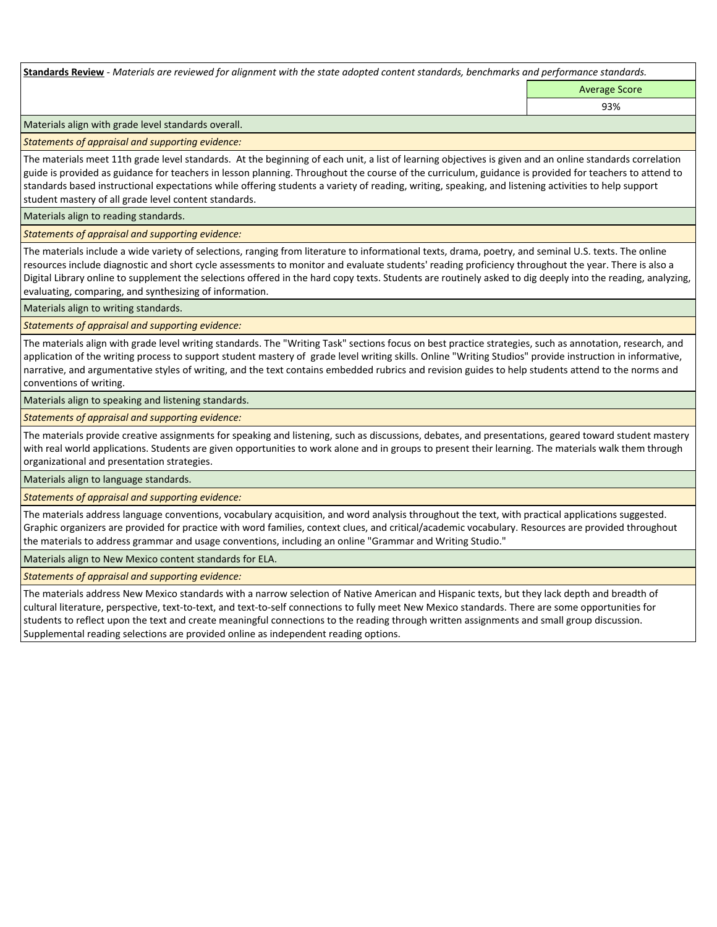**Standards Review** *- Materials are reviewed for alignment with the state adopted content standards, benchmarks and performance standards.*

Average Score 93%

Materials align with grade level standards overall.

*Statements of appraisal and supporting evidence:* 

The materials meet 11th grade level standards. At the beginning of each unit, a list of learning objectives is given and an online standards correlation guide is provided as guidance for teachers in lesson planning. Throughout the course of the curriculum, guidance is provided for teachers to attend to standards based instructional expectations while offering students a variety of reading, writing, speaking, and listening activities to help support student mastery of all grade level content standards.

Materials align to reading standards.

*Statements of appraisal and supporting evidence:* 

The materials include a wide variety of selections, ranging from literature to informational texts, drama, poetry, and seminal U.S. texts. The online resources include diagnostic and short cycle assessments to monitor and evaluate students' reading proficiency throughout the year. There is also a Digital Library online to supplement the selections offered in the hard copy texts. Students are routinely asked to dig deeply into the reading, analyzing, evaluating, comparing, and synthesizing of information.

Materials align to writing standards.

*Statements of appraisal and supporting evidence:* 

The materials align with grade level writing standards. The "Writing Task" sections focus on best practice strategies, such as annotation, research, and application of the writing process to support student mastery of grade level writing skills. Online "Writing Studios" provide instruction in informative, narrative, and argumentative styles of writing, and the text contains embedded rubrics and revision guides to help students attend to the norms and conventions of writing.

Materials align to speaking and listening standards.

*Statements of appraisal and supporting evidence:* 

The materials provide creative assignments for speaking and listening, such as discussions, debates, and presentations, geared toward student mastery with real world applications. Students are given opportunities to work alone and in groups to present their learning. The materials walk them through organizational and presentation strategies.

Materials align to language standards.

*Statements of appraisal and supporting evidence:* 

The materials address language conventions, vocabulary acquisition, and word analysis throughout the text, with practical applications suggested. Graphic organizers are provided for practice with word families, context clues, and critical/academic vocabulary. Resources are provided throughout the materials to address grammar and usage conventions, including an online "Grammar and Writing Studio."

Materials align to New Mexico content standards for ELA.

*Statements of appraisal and supporting evidence:* 

The materials address New Mexico standards with a narrow selection of Native American and Hispanic texts, but they lack depth and breadth of cultural literature, perspective, text-to-text, and text-to-self connections to fully meet New Mexico standards. There are some opportunities for students to reflect upon the text and create meaningful connections to the reading through written assignments and small group discussion. Supplemental reading selections are provided online as independent reading options.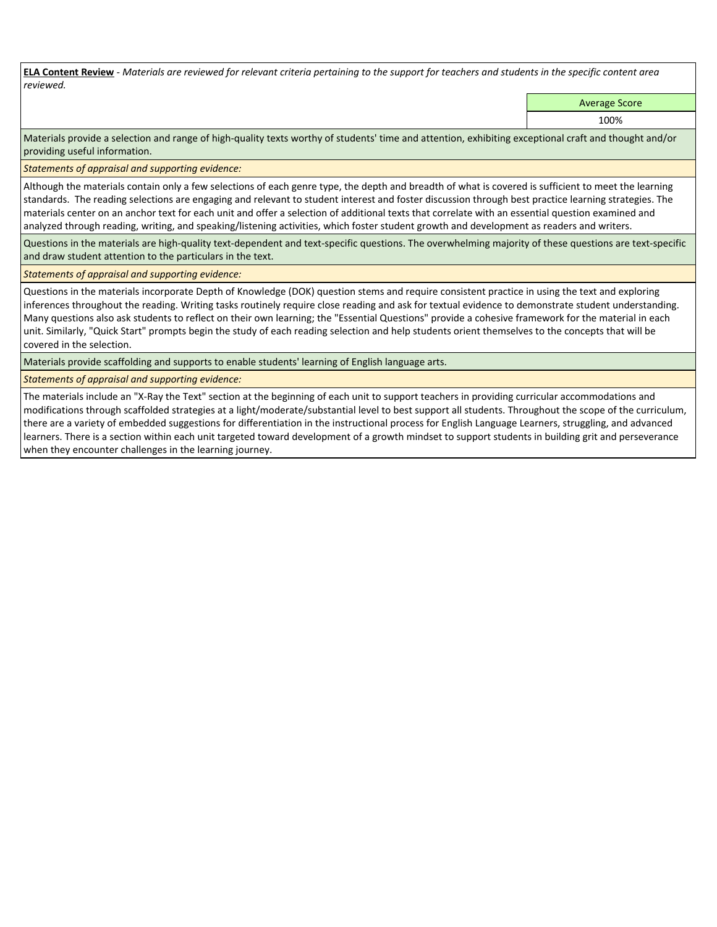**ELA Content Review** *- Materials are reviewed for relevant criteria pertaining to the support for teachers and students in the specific content area reviewed.*

Average Score

100%

Materials provide a selection and range of high-quality texts worthy of students' time and attention, exhibiting exceptional craft and thought and/or providing useful information.

*Statements of appraisal and supporting evidence:* 

Although the materials contain only a few selections of each genre type, the depth and breadth of what is covered is sufficient to meet the learning standards. The reading selections are engaging and relevant to student interest and foster discussion through best practice learning strategies. The materials center on an anchor text for each unit and offer a selection of additional texts that correlate with an essential question examined and analyzed through reading, writing, and speaking/listening activities, which foster student growth and development as readers and writers.

Questions in the materials are high-quality text-dependent and text-specific questions. The overwhelming majority of these questions are text-specific and draw student attention to the particulars in the text.

*Statements of appraisal and supporting evidence:* 

Questions in the materials incorporate Depth of Knowledge (DOK) question stems and require consistent practice in using the text and exploring inferences throughout the reading. Writing tasks routinely require close reading and ask for textual evidence to demonstrate student understanding. Many questions also ask students to reflect on their own learning; the "Essential Questions" provide a cohesive framework for the material in each unit. Similarly, "Quick Start" prompts begin the study of each reading selection and help students orient themselves to the concepts that will be covered in the selection.

Materials provide scaffolding and supports to enable students' learning of English language arts.

*Statements of appraisal and supporting evidence:* 

The materials include an "X-Ray the Text" section at the beginning of each unit to support teachers in providing curricular accommodations and modifications through scaffolded strategies at a light/moderate/substantial level to best support all students. Throughout the scope of the curriculum, there are a variety of embedded suggestions for differentiation in the instructional process for English Language Learners, struggling, and advanced learners. There is a section within each unit targeted toward development of a growth mindset to support students in building grit and perseverance when they encounter challenges in the learning journey.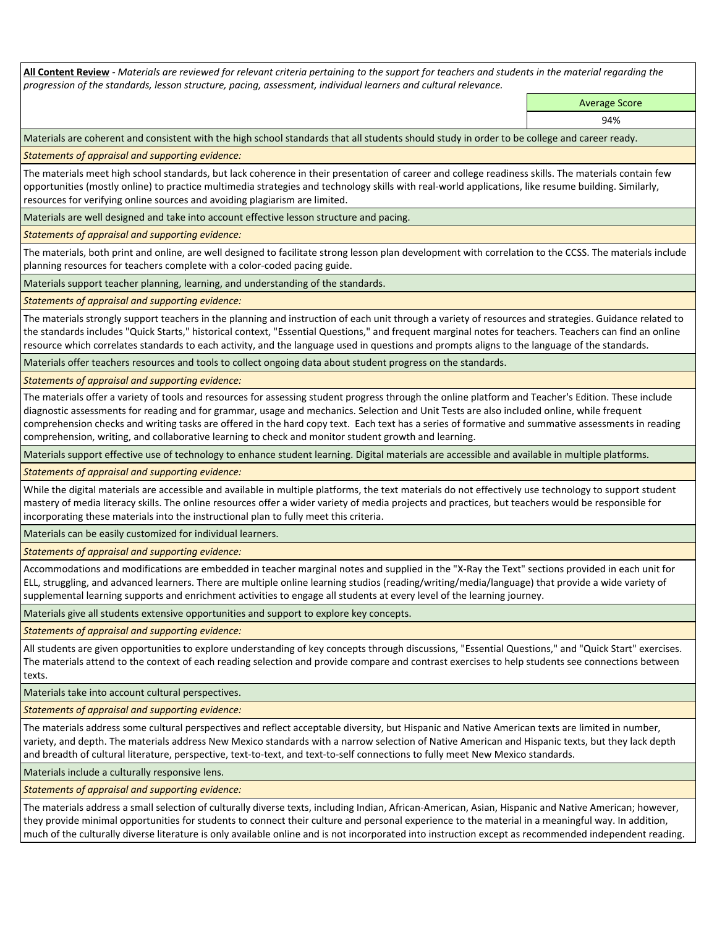**All Content Review** *- Materials are reviewed for relevant criteria pertaining to the support for teachers and students in the material regarding the progression of the standards, lesson structure, pacing, assessment, individual learners and cultural relevance.*

> Average Score 94%

Materials are coherent and consistent with the high school standards that all students should study in order to be college and career ready.

*Statements of appraisal and supporting evidence:*

The materials meet high school standards, but lack coherence in their presentation of career and college readiness skills. The materials contain few opportunities (mostly online) to practice multimedia strategies and technology skills with real-world applications, like resume building. Similarly, resources for verifying online sources and avoiding plagiarism are limited.

Materials are well designed and take into account effective lesson structure and pacing.

*Statements of appraisal and supporting evidence:*

The materials, both print and online, are well designed to facilitate strong lesson plan development with correlation to the CCSS. The materials include planning resources for teachers complete with a color-coded pacing guide.

Materials support teacher planning, learning, and understanding of the standards.

*Statements of appraisal and supporting evidence:*

The materials strongly support teachers in the planning and instruction of each unit through a variety of resources and strategies. Guidance related to the standards includes "Quick Starts," historical context, "Essential Questions," and frequent marginal notes for teachers. Teachers can find an online resource which correlates standards to each activity, and the language used in questions and prompts aligns to the language of the standards.

Materials offer teachers resources and tools to collect ongoing data about student progress on the standards.

*Statements of appraisal and supporting evidence:*

The materials offer a variety of tools and resources for assessing student progress through the online platform and Teacher's Edition. These include diagnostic assessments for reading and for grammar, usage and mechanics. Selection and Unit Tests are also included online, while frequent comprehension checks and writing tasks are offered in the hard copy text. Each text has a series of formative and summative assessments in reading comprehension, writing, and collaborative learning to check and monitor student growth and learning.

Materials support effective use of technology to enhance student learning. Digital materials are accessible and available in multiple platforms.

*Statements of appraisal and supporting evidence:*

While the digital materials are accessible and available in multiple platforms, the text materials do not effectively use technology to support student mastery of media literacy skills. The online resources offer a wider variety of media projects and practices, but teachers would be responsible for incorporating these materials into the instructional plan to fully meet this criteria.

Materials can be easily customized for individual learners.

*Statements of appraisal and supporting evidence:* 

Accommodations and modifications are embedded in teacher marginal notes and supplied in the "X-Ray the Text" sections provided in each unit for ELL, struggling, and advanced learners. There are multiple online learning studios (reading/writing/media/language) that provide a wide variety of supplemental learning supports and enrichment activities to engage all students at every level of the learning journey.

Materials give all students extensive opportunities and support to explore key concepts.

*Statements of appraisal and supporting evidence:*

All students are given opportunities to explore understanding of key concepts through discussions, "Essential Questions," and "Quick Start" exercises. The materials attend to the context of each reading selection and provide compare and contrast exercises to help students see connections between texts.

Materials take into account cultural perspectives.

*Statements of appraisal and supporting evidence:*

The materials address some cultural perspectives and reflect acceptable diversity, but Hispanic and Native American texts are limited in number, variety, and depth. The materials address New Mexico standards with a narrow selection of Native American and Hispanic texts, but they lack depth and breadth of cultural literature, perspective, text-to-text, and text-to-self connections to fully meet New Mexico standards.

Materials include a culturally responsive lens.

*Statements of appraisal and supporting evidence:*

The materials address a small selection of culturally diverse texts, including Indian, African-American, Asian, Hispanic and Native American; however, they provide minimal opportunities for students to connect their culture and personal experience to the material in a meaningful way. In addition, much of the culturally diverse literature is only available online and is not incorporated into instruction except as recommended independent reading.